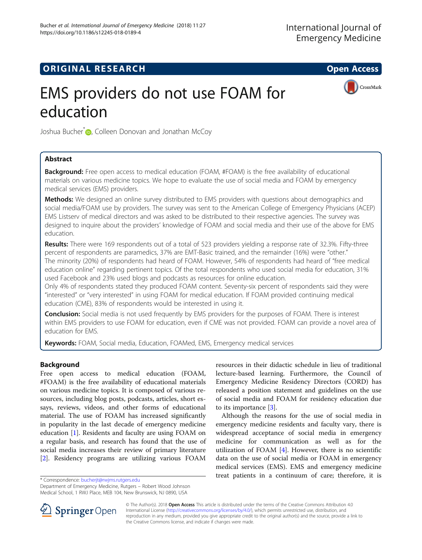## **ORIGINAL RESEARCH CONSUMING ACCESS**

CrossMark

# EMS providers do not use FOAM for education

Joshua Bucher<sup>[\\*](http://orcid.org/0000-0003-2761-3387)</sup> D<sub>r</sub>, Colleen Donovan and Jonathan McCoy

## Abstract

**Background:** Free open access to medical education (FOAM, #FOAM) is the free availability of educational materials on various medicine topics. We hope to evaluate the use of social media and FOAM by emergency medical services (EMS) providers.

**Methods:** We designed an online survey distributed to EMS providers with questions about demographics and social media/FOAM use by providers. The survey was sent to the American College of Emergency Physicians (ACEP) EMS Listserv of medical directors and was asked to be distributed to their respective agencies. The survey was designed to inquire about the providers' knowledge of FOAM and social media and their use of the above for EMS education.

Results: There were 169 respondents out of a total of 523 providers yielding a response rate of 32.3%. Fifty-three percent of respondents are paramedics, 37% are EMT-Basic trained, and the remainder (16%) were "other." The minority (20%) of respondents had heard of FOAM. However, 54% of respondents had heard of "free medical education online" regarding pertinent topics. Of the total respondents who used social media for education, 31% used Facebook and 23% used blogs and podcasts as resources for online education.

Only 4% of respondents stated they produced FOAM content. Seventy-six percent of respondents said they were "interested" or "very interested" in using FOAM for medical education. If FOAM provided continuing medical education (CME), 83% of respondents would be interested in using it.

**Conclusion:** Social media is not used frequently by EMS providers for the purposes of FOAM. There is interest within EMS providers to use FOAM for education, even if CME was not provided. FOAM can provide a novel area of education for EMS.

Keywords: FOAM, Social media, Education, FOAMed, EMS, Emergency medical services

## Background

Free open access to medical education (FOAM, #FOAM) is the free availability of educational materials on various medicine topics. It is composed of various resources, including blog posts, podcasts, articles, short essays, reviews, videos, and other forms of educational material. The use of FOAM has increased significantly in popularity in the last decade of emergency medicine education [\[1\]](#page-4-0). Residents and faculty are using FOAM on a regular basis, and research has found that the use of social media increases their review of primary literature [[2\]](#page-4-0). Residency programs are utilizing various FOAM

resources in their didactic schedule in lieu of traditional lecture-based learning. Furthermore, the Council of Emergency Medicine Residency Directors (CORD) has released a position statement and guidelines on the use of social media and FOAM for residency education due to its importance [\[3](#page-4-0)].

Although the reasons for the use of social media in emergency medicine residents and faculty vary, there is widespread acceptance of social media in emergency medicine for communication as well as for the utilization of FOAM  $[4]$  $[4]$ . However, there is no scientific data on the use of social media or FOAM in emergency medical services (EMS). EMS and emergency medicine \* Correspondence: [bucherjt@rwjms.rutgers.edu](mailto:bucherjt@rwjms.rutgers.edu) **exercity and the example of care** therefore, it is \* Correspondence: bucherjt@rwjms.rutgers.edu

Department of Emergency Medicine, Rutgers – Robert Wood Johnson Medical School, 1 RWJ Place, MEB 104, New Brunswick, NJ 0890, USA



© The Author(s). 2018 Open Access This article is distributed under the terms of the Creative Commons Attribution 4.0 International License ([http://creativecommons.org/licenses/by/4.0/\)](http://creativecommons.org/licenses/by/4.0/), which permits unrestricted use, distribution, and reproduction in any medium, provided you give appropriate credit to the original author(s) and the source, provide a link to the Creative Commons license, and indicate if changes were made.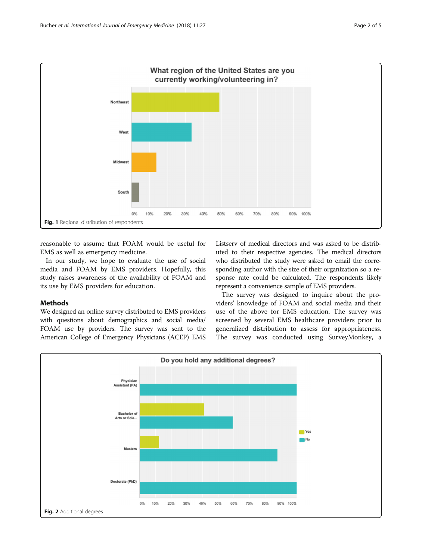<span id="page-1-0"></span>

reasonable to assume that FOAM would be useful for EMS as well as emergency medicine.

In our study, we hope to evaluate the use of social media and FOAM by EMS providers. Hopefully, this study raises awareness of the availability of FOAM and its use by EMS providers for education.

## **Methods**

We designed an online survey distributed to EMS providers with questions about demographics and social media/ FOAM use by providers. The survey was sent to the American College of Emergency Physicians (ACEP) EMS Listserv of medical directors and was asked to be distributed to their respective agencies. The medical directors who distributed the study were asked to email the corresponding author with the size of their organization so a response rate could be calculated. The respondents likely represent a convenience sample of EMS providers.

The survey was designed to inquire about the providers' knowledge of FOAM and social media and their use of the above for EMS education. The survey was screened by several EMS healthcare providers prior to generalized distribution to assess for appropriateness. The survey was conducted using SurveyMonkey, a

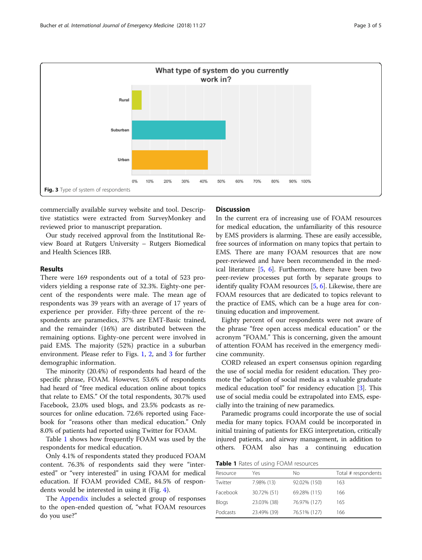

commercially available survey website and tool. Descriptive statistics were extracted from SurveyMonkey and reviewed prior to manuscript preparation.

Our study received approval from the Institutional Review Board at Rutgers University – Rutgers Biomedical and Health Sciences IRB.

### Results

There were 169 respondents out of a total of 523 providers yielding a response rate of 32.3%. Eighty-one percent of the respondents were male. The mean age of respondents was 39 years with an average of 17 years of experience per provider. Fifty-three percent of the respondents are paramedics, 37% are EMT-Basic trained, and the remainder (16%) are distributed between the remaining options. Eighty-one percent were involved in paid EMS. The majority (52%) practice in a suburban environment. Please refer to Figs. [1](#page-1-0), [2,](#page-1-0) and 3 for further demographic information.

The minority (20.4%) of respondents had heard of the specific phrase, FOAM. However, 53.6% of respondents had heard of "free medical education online about topics that relate to EMS." Of the total respondents, 30.7% used Facebook, 23.0% used blogs, and 23.5% podcasts as resources for online education. 72.6% reported using Facebook for "reasons other than medical education." Only 8.0% of patients had reported using Twitter for FOAM.

Table 1 shows how frequently FOAM was used by the respondents for medical education.

Only 4.1% of respondents stated they produced FOAM content. 76.3% of respondents said they were "interested" or "very interested" in using FOAM for medical education. If FOAM provided CME, 84.5% of respondents would be interested in using it (Fig. [4](#page-3-0)).

The [Appendix](#page-3-0) includes a selected group of responses to the open-ended question of, "what FOAM resources do you use?"

## **Discussion**

In the current era of increasing use of FOAM resources for medical education, the unfamiliarity of this resource by EMS providers is alarming. These are easily accessible, free sources of information on many topics that pertain to EMS. There are many FOAM resources that are now peer-reviewed and have been recommended in the medical literature [\[5](#page-4-0), [6\]](#page-4-0). Furthermore, there have been two peer-review processes put forth by separate groups to identify quality FOAM resources [[5,](#page-4-0) [6](#page-4-0)]. Likewise, there are FOAM resources that are dedicated to topics relevant to the practice of EMS, which can be a huge area for continuing education and improvement.

Eighty percent of our respondents were not aware of the phrase "free open access medical education" or the acronym "FOAM." This is concerning, given the amount of attention FOAM has received in the emergency medicine community.

CORD released an expert consensus opinion regarding the use of social media for resident education. They promote the "adoption of social media as a valuable graduate medical education tool" for residency education [\[3\]](#page-4-0). This use of social media could be extrapolated into EMS, especially into the training of new paramedics.

Paramedic programs could incorporate the use of social media for many topics. FOAM could be incorporated in initial training of patients for EKG interpretation, critically injured patients, and airway management, in addition to others. FOAM also has a continuing education

**Table 1** Rates of using FOAM resources

| Resource | Yes         | Nο           | Total # respondents |
|----------|-------------|--------------|---------------------|
| Twitter  | 7.98% (13)  | 92.02% (150) | 163                 |
| Facebook | 30.72% (51) | 69.28% (115) | 166                 |
| Blogs    | 23.03% (38) | 76.97% (127) | 165                 |
| Podcasts | 23.49% (39) | 76.51% (127) | 166                 |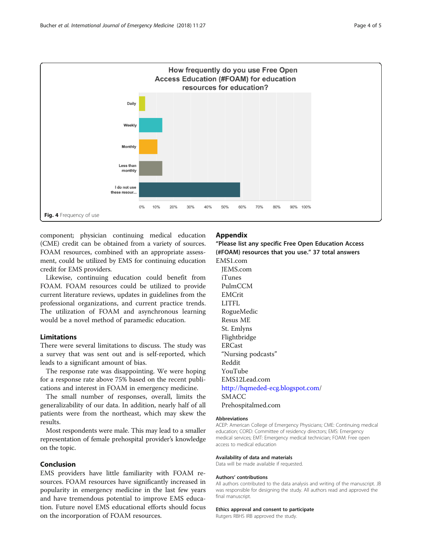<span id="page-3-0"></span>

component; physician continuing medical education (CME) credit can be obtained from a variety of sources. FOAM resources, combined with an appropriate assessment, could be utilized by EMS for continuing education credit for EMS providers.

Likewise, continuing education could benefit from FOAM. FOAM resources could be utilized to provide current literature reviews, updates in guidelines from the professional organizations, and current practice trends. The utilization of FOAM and asynchronous learning would be a novel method of paramedic education.

## Limitations

There were several limitations to discuss. The study was a survey that was sent out and is self-reported, which leads to a significant amount of bias.

The response rate was disappointing. We were hoping for a response rate above 75% based on the recent publications and interest in FOAM in emergency medicine.

The small number of responses, overall, limits the generalizability of our data. In addition, nearly half of all patients were from the northeast, which may skew the results.

Most respondents were male. This may lead to a smaller representation of female prehospital provider's knowledge on the topic.

## Conclusion

EMS providers have little familiarity with FOAM resources. FOAM resources have significantly increased in popularity in emergency medicine in the last few years and have tremendous potential to improve EMS education. Future novel EMS educational efforts should focus on the incorporation of FOAM resources.

## Appendix

"Please list any specific Free Open Education Access (#FOAM) resources that you use." 37 total answers EMS1.com

JEMS.com iTunes PulmCCM EMCrit LITFL RogueMedic Resus ME St. Emlyns Flightbridge ERCast "Nursing podcasts" Reddit YouTube EMS12Lead.com [http://hqmeded-ecg.blogspot.com/](http://hqmeded-ecg.blogspot.com) SMACC Prehospitalmed.com

#### Abbreviations

ACEP: American College of Emergency Physicians; CME: Continuing medical education; CORD: Committee of residency directors; EMS: Emergency medical services; EMT: Emergency medical technician; FOAM: Free open access to medical education

#### Availability of data and materials

Data will be made available if requested.

#### Authors' contributions

All authors contributed to the data analysis and writing of the manuscript. JB was responsible for designing the study. All authors read and approved the final manuscript.

#### Ethics approval and consent to participate

Rutgers RBHS IRB approved the study.